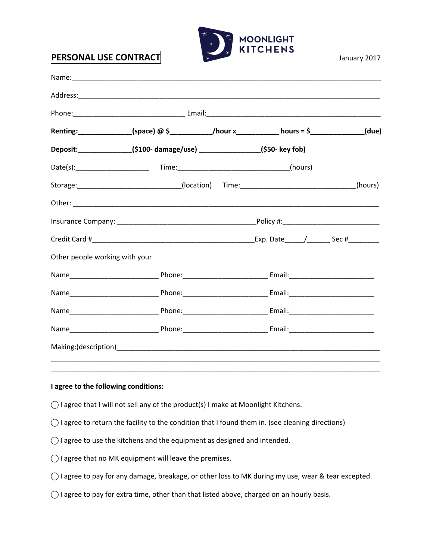

|                                | Renting:______________(space) @ \$___________/hour x__________ hours = \$____________(due) |  |         |
|--------------------------------|--------------------------------------------------------------------------------------------|--|---------|
|                                | Deposit:_______________(\$100-damage/use) ________________(\$50- key fob)                  |  |         |
|                                |                                                                                            |  |         |
|                                | Storage:____________________________(location) Time:____________________________           |  | (hours) |
|                                |                                                                                            |  |         |
|                                |                                                                                            |  |         |
|                                |                                                                                            |  |         |
| Other people working with you: |                                                                                            |  |         |
|                                |                                                                                            |  |         |
|                                |                                                                                            |  |         |
|                                |                                                                                            |  |         |
|                                |                                                                                            |  |         |
|                                |                                                                                            |  |         |

## **I agree to the following conditions:**

- $\bigcirc$  I agree that I will not sell any of the product(s) I make at Moonlight Kitchens.
- $\bigcirc$  I agree to return the facility to the condition that I found them in. (see cleaning directions)
- $\bigcirc$  I agree to use the kitchens and the equipment as designed and intended.
- $\bigcirc$  I agree that no MK equipment will leave the premises.
- $\bigcirc$  I agree to pay for any damage, breakage, or other loss to MK during my use, wear & tear excepted.
- ◯ I agree to pay for extra time, other than that listed above, charged on an hourly basis.